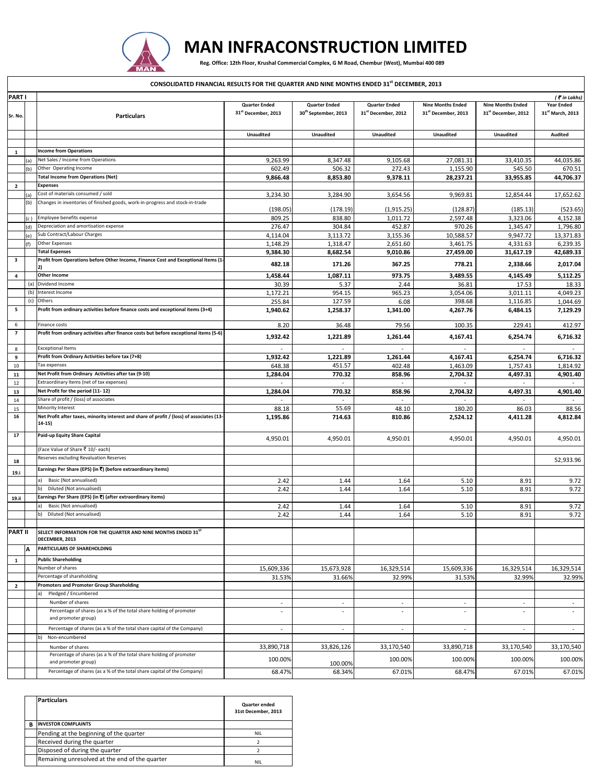

## **MAN INFRACONSTRUCTION LIMITED**

Reg. Office: 12th Floor, Krushal Commercial Complex, G M Road, Chembur (West), Mumbai 400 089

| CONSOLIDATED FINANCIAL RESULTS FOR THE QUARTER AND NINE MONTHS ENDED 31 <sup>st</sup> DECEMBER, 2013 |     |                                                                                                     |                                                         |                                                          |                                                         |                                                             |                                                 |                                       |  |
|------------------------------------------------------------------------------------------------------|-----|-----------------------------------------------------------------------------------------------------|---------------------------------------------------------|----------------------------------------------------------|---------------------------------------------------------|-------------------------------------------------------------|-------------------------------------------------|---------------------------------------|--|
| <b>PARTI</b>                                                                                         |     |                                                                                                     |                                                         |                                                          |                                                         |                                                             |                                                 |                                       |  |
| Sr. No.                                                                                              |     | <b>Particulars</b>                                                                                  | <b>Quarter Ended</b><br>31 <sup>st</sup> December, 2013 | <b>Quarter Ended</b><br>30 <sup>th</sup> September, 2013 | <b>Quarter Ended</b><br>31 <sup>st</sup> December, 2012 | <b>Nine Months Ended</b><br>31 <sup>st</sup> December, 2013 | <b>Nine Months Ended</b><br>31st December, 2012 | <b>Year Ended</b><br>31st March, 2013 |  |
|                                                                                                      |     |                                                                                                     | <b>Unaudited</b>                                        | Unaudited                                                | <b>Unaudited</b>                                        | <b>Unaudited</b>                                            | <b>Unaudited</b>                                | Audited                               |  |
|                                                                                                      |     |                                                                                                     |                                                         |                                                          |                                                         |                                                             |                                                 |                                       |  |
| 1                                                                                                    |     | <b>Income from Operations</b>                                                                       |                                                         |                                                          |                                                         |                                                             |                                                 |                                       |  |
|                                                                                                      |     | Net Sales / Income from Operations                                                                  | 9,263.99                                                | 8,347.48                                                 | 9,105.68                                                | 27,081.31                                                   | 33,410.35                                       | 44,035.86                             |  |
|                                                                                                      |     | Other Operating Income                                                                              | 602.49                                                  | 506.32                                                   | 272.43                                                  | 1,155.90                                                    | 545.50                                          | 670.51                                |  |
|                                                                                                      |     | <b>Total Income from Operations (Net)</b><br>Expenses                                               | 9,866.48                                                | 8,853.80                                                 | 9,378.11                                                | 28,237.21                                                   | 33,955.85                                       | 44,706.37                             |  |
| $\overline{2}$                                                                                       |     | Cost of materials consumed / sold                                                                   | 3,234.30                                                | 3,284.90                                                 | 3,654.56                                                | 9,969.81                                                    | 12,854.44                                       | 17,652.62                             |  |
|                                                                                                      | (b) | Changes in inventories of finished goods, work-in-progress and stock-in-trade                       |                                                         |                                                          |                                                         |                                                             |                                                 |                                       |  |
|                                                                                                      |     |                                                                                                     | (198.05)                                                | (178.19)                                                 | (1,915.25)                                              | (128.87)                                                    | (185.13)                                        | (523.65)                              |  |
|                                                                                                      |     | Employee benefits expense                                                                           | 809.25                                                  | 838.80                                                   | 1,011.72                                                | 2,597.48                                                    | 3,323.06                                        | 4,152.38                              |  |
|                                                                                                      |     | Depreciation and amortisation expense                                                               | 276.47                                                  | 304.84                                                   | 452.87                                                  | 970.26                                                      | 1,345.47                                        | 1,796.80                              |  |
|                                                                                                      | ٢f١ | Sub Contract/Labour Charges<br><b>Other Expenses</b>                                                | 4,114.04<br>1,148.29                                    | 3,113.72<br>1,318.47                                     | 3,155.36<br>2,651.60                                    | 10,588.57<br>3,461.75                                       | 9,947.72<br>4,331.63                            | 13,371.83<br>6,239.35                 |  |
|                                                                                                      |     | <b>Total Expenses</b>                                                                               | 9,384.30                                                | 8,682.54                                                 | 9,010.86                                                | 27,459.00                                                   | 31,617.19                                       | 42,689.33                             |  |
| $\overline{\mathbf{3}}$                                                                              |     | Profit from Operations before Other Income, Finance Cost and Exceptional Items (1-<br>2)            | 482.18                                                  | 171.26                                                   | 367.25                                                  | 778.21                                                      | 2,338.66                                        | 2,017.04                              |  |
| 4                                                                                                    |     | <b>Other Income</b>                                                                                 | 1,458.44                                                | 1,087.11                                                 | 973.75                                                  | 3,489.55                                                    | 4,145.49                                        | 5,112.25                              |  |
|                                                                                                      | (a) | Dividend Income                                                                                     | 30.39                                                   | 5.37                                                     | 2.44                                                    | 36.81                                                       | 17.53                                           | 18.33                                 |  |
|                                                                                                      | (b) | Interest Income                                                                                     | 1,172.21                                                | 954.15                                                   | 965.23                                                  | 3,054.06                                                    | 3,011.11                                        | 4,049.23                              |  |
| 5                                                                                                    | (c) | Others<br>Profit from ordinary activities before finance costs and exceptional items (3+4)          | 255.84<br>1,940.62                                      | 127.59<br>1,258.37                                       | 6.08<br>1,341.00                                        | 398.68<br>4,267.76                                          | 1,116.85<br>6,484.15                            | 1,044.69<br>7,129.29                  |  |
| 6                                                                                                    |     | Finance costs                                                                                       | 8.20                                                    | 36.48                                                    | 79.56                                                   | 100.35                                                      | 229.41                                          | 412.97                                |  |
| $\overline{7}$                                                                                       |     | Profit from ordinary activities after finance costs but before exceptional items (5-6)              | 1,932.42                                                | 1,221.89                                                 | 1,261.44                                                | 4,167.41                                                    | 6,254.74                                        | 6,716.32                              |  |
| 8                                                                                                    |     | <b>Exceptional Items</b>                                                                            |                                                         |                                                          |                                                         |                                                             |                                                 |                                       |  |
| 9                                                                                                    |     | Profit from Ordinary Activities before tax (7+8)                                                    | 1,932.42                                                | 1,221.89                                                 | 1,261.44                                                | 4,167.41                                                    | 6,254.74                                        | 6,716.32                              |  |
| 10                                                                                                   |     | Tax expenses<br>Net Profit from Ordinary Activities after tax (9-10)                                | 648.38                                                  | 451.57                                                   | 402.48                                                  | 1,463.09                                                    | 1,757.43                                        | 1,814.92                              |  |
| 11<br>12                                                                                             |     | Extraordinary Items (net of tax expenses)                                                           | 1,284.04                                                | 770.32<br>$\sim$                                         | 858.96<br>$\blacksquare$                                | 2,704.32                                                    | 4,497.31                                        | 4,901.40                              |  |
| 13                                                                                                   |     | Net Profit for the period (11-12)                                                                   | 1,284.04                                                | 770.32                                                   | 858.96                                                  | 2,704.32                                                    | 4,497.31                                        | 4,901.40                              |  |
| 14                                                                                                   |     | Share of profit / (loss) of associates                                                              |                                                         |                                                          |                                                         |                                                             |                                                 |                                       |  |
| 15                                                                                                   |     | Minority Interest                                                                                   | 88.18                                                   | 55.69                                                    | 48.10                                                   | 180.20                                                      | 86.03                                           | 88.56                                 |  |
| 16                                                                                                   |     | Net Profit after taxes, minority interest and share of profit / (loss) of associates (13-<br>14-15) | 1,195.86                                                | 714.63                                                   | 810.86                                                  | 2,524.12                                                    | 4,411.28                                        | 4,812.84                              |  |
| 17                                                                                                   |     | Paid-up Equity Share Capital                                                                        | 4,950.01                                                | 4,950.01                                                 | 4,950.01                                                | 4,950.01                                                    | 4,950.01                                        | 4,950.01                              |  |
|                                                                                                      |     | (Face Value of Share ₹ 10/- each)<br>Reserves excluding Revaluation Reserves                        |                                                         |                                                          |                                                         |                                                             |                                                 |                                       |  |
| 18<br>19.i                                                                                           |     | Earnings Per Share (EPS) (in ₹) (before extraordinary items)                                        |                                                         |                                                          |                                                         |                                                             |                                                 | 52,933.96                             |  |
|                                                                                                      |     | Basic (Not annualised)<br>a)                                                                        | 2.42                                                    | 1.44                                                     | 1.64                                                    | 5.10                                                        | 8.91                                            | 9.72                                  |  |
|                                                                                                      |     | Diluted (Not annualised)<br>b)                                                                      | 2.42                                                    | 1.44                                                     | 1.64                                                    | 5.10                                                        | 8.91                                            | 9.72                                  |  |
| 19.ii                                                                                                |     | Earnings Per Share (EPS) (in ₹) (after extraordinary items)                                         |                                                         |                                                          |                                                         |                                                             |                                                 |                                       |  |
|                                                                                                      |     | Basic (Not annualised)                                                                              | 2.42                                                    | 1.44                                                     | 1.64                                                    | 5.10                                                        | 8.91                                            | 9.72                                  |  |
|                                                                                                      |     | Diluted (Not annualised)                                                                            | 2.42                                                    | 1.44                                                     | 1.64                                                    | 5.10                                                        | 8.91                                            | 9.72                                  |  |
| <b>PART II</b>                                                                                       |     | SELECT INFORMATION FOR THE QUARTER AND NINE MONTHS ENDED 31ST<br>DECEMBER, 2013                     |                                                         |                                                          |                                                         |                                                             |                                                 |                                       |  |
|                                                                                                      | A   | PARTICULARS OF SHAREHOLDING                                                                         |                                                         |                                                          |                                                         |                                                             |                                                 |                                       |  |
| 1                                                                                                    |     | <b>Public Shareholding</b>                                                                          |                                                         |                                                          |                                                         |                                                             |                                                 |                                       |  |
|                                                                                                      |     | Number of shares                                                                                    | 15,609,336                                              | 15,673,928                                               | 16,329,514                                              | 15,609,336                                                  | 16,329,514                                      | 16,329,514                            |  |
|                                                                                                      |     | Percentage of shareholding                                                                          | 31.53%                                                  | 31.66%                                                   | 32.99%                                                  | 31.53%                                                      | 32.99%                                          | 32.99%                                |  |
| $\overline{2}$                                                                                       |     | <b>Promoters and Promoter Group Shareholding</b>                                                    |                                                         |                                                          |                                                         |                                                             |                                                 |                                       |  |
|                                                                                                      |     | Pledged / Encumbered<br>a)<br>Number of shares                                                      | $\sim$                                                  | $\sim$                                                   | $\sim$                                                  | $\sim$                                                      | $\sim$                                          | $\sim$                                |  |
|                                                                                                      |     | Percentage of shares (as a % of the total share holding of promoter<br>and promoter group)          |                                                         |                                                          | ÷,                                                      | ÷                                                           |                                                 | ÷.                                    |  |
|                                                                                                      |     | Percentage of shares (as a % of the total share capital of the Company)                             | $\blacksquare$                                          | $\sim$                                                   | $\blacksquare$                                          | $\sim$                                                      | $\sim$                                          | $\sim$                                |  |
|                                                                                                      |     | Non-encumbered<br>b)                                                                                |                                                         |                                                          |                                                         |                                                             |                                                 |                                       |  |
|                                                                                                      |     | Number of shares                                                                                    | 33,890,718                                              | 33,826,126                                               | 33,170,540                                              | 33,890,718                                                  | 33,170,540                                      | 33,170,540                            |  |
|                                                                                                      |     | Percentage of shares (as a % of the total share holding of promoter<br>and promoter group)          | 100.00%                                                 |                                                          | 100.00%                                                 | 100.00%                                                     | 100.00%                                         | 100.00%                               |  |
|                                                                                                      |     | Percentage of shares (as a % of the total share capital of the Company)                             |                                                         | 100.00%                                                  |                                                         |                                                             |                                                 |                                       |  |
|                                                                                                      |     |                                                                                                     | 68.47%                                                  | 68.34%                                                   | 67.01%                                                  | 68.47%                                                      | 67.01%                                          | 67.01%                                |  |

|   | <b>Particulars</b>                             | Quarter ended<br>31st December, 2013 |  |  |
|---|------------------------------------------------|--------------------------------------|--|--|
| R | <b>INVESTOR COMPLAINTS</b>                     |                                      |  |  |
|   | Pending at the beginning of the quarter        | <b>NIL</b>                           |  |  |
|   | Received during the quarter                    |                                      |  |  |
|   | Disposed of during the quarter                 | ∍                                    |  |  |
|   | Remaining unresolved at the end of the quarter | <b>NIL</b>                           |  |  |